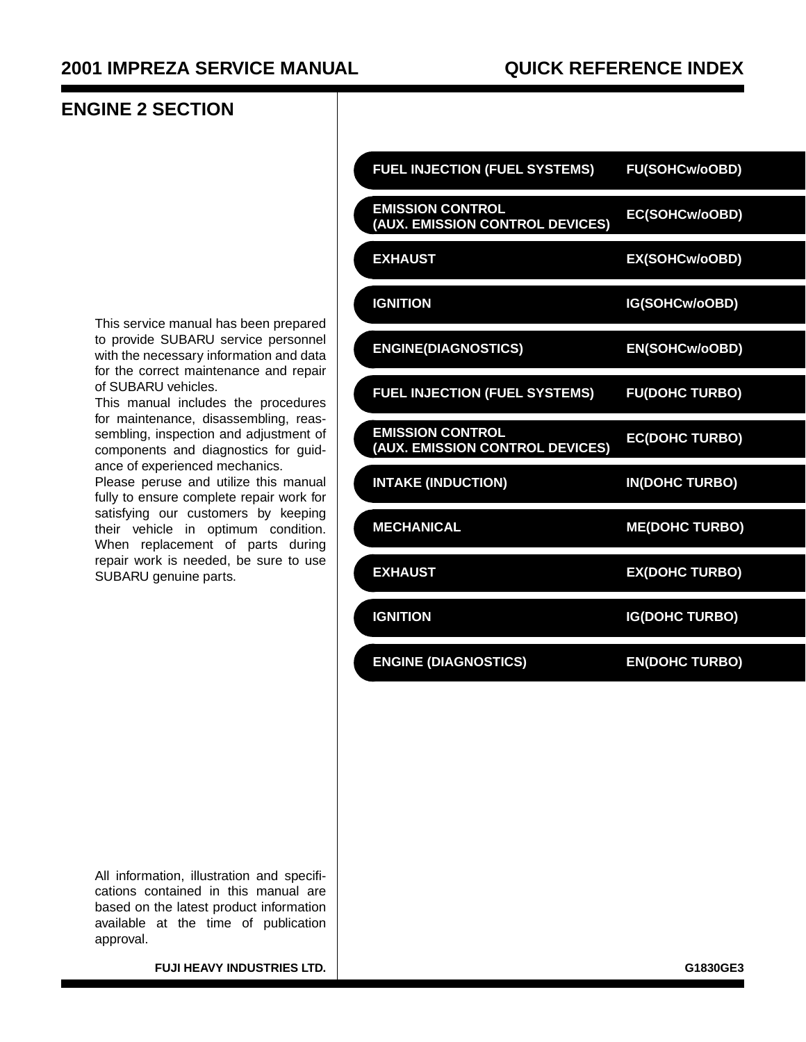#### **ENGINE 2 SECTION**

This service manual has been prepared to provide SUBARU service personnel with the necessary information and data for the correct maintenance and repair of SUBARU vehicles.

This manual includes the procedures for maintenance, disassembling, reassembling, inspection and adjustment of components and diagnostics for guidance of experienced mechanics.

Please peruse and utilize this manual fully to ensure complete repair work for satisfying our customers by keeping their vehicle in optimum condition. When replacement of parts during repair work is needed, be sure to use SUBARU genuine parts.

| <b>FUEL INJECTION (FUEL SYSTEMS)</b>                       | <b>FU(SOHCw/oOBD)</b> |
|------------------------------------------------------------|-----------------------|
| <b>EMISSION CONTROL</b><br>(AUX. EMISSION CONTROL DEVICES) | EC(SOHCw/oOBD)        |
| <b>EXHAUST</b>                                             | EX(SOHCw/oOBD)        |
| <b>IGNITION</b>                                            | IG(SOHCw/oOBD)        |
| <b>ENGINE(DIAGNOSTICS)</b>                                 | <b>EN(SOHCw/oOBD)</b> |
| <b>FUEL INJECTION (FUEL SYSTEMS)</b>                       | <b>FU(DOHC TURBO)</b> |
| <b>EMISSION CONTROL</b><br>(AUX. EMISSION CONTROL DEVICES) | <b>EC(DOHC TURBO)</b> |
| <b>INTAKE (INDUCTION)</b>                                  | <b>IN(DOHC TURBO)</b> |
| <b>MECHANICAL</b>                                          | <b>ME(DOHC TURBO)</b> |
| <b>EXHAUST</b>                                             | <b>EX(DOHC TURBO)</b> |
| <b>IGNITION</b>                                            | <b>IG(DOHC TURBO)</b> |
| <b>ENGINE (DIAGNOSTICS)</b>                                | <b>EN(DOHC TURBO)</b> |

All information, illustration and specifications contained in this manual are based on the latest product information available at the time of publication approval.

**FUJI HEAVY INDUSTRIES LTD.** GLASSING THE CONSTRUCTED AND THE CONSTRUCTED ASSOCIATED ASSOCIATED ASSOCIATED ASSOCIATED ASSOCIATED ASSOCIATED ASSOCIATED ASSOCIATED ASSOCIATED ASSOCIATED ASSOCIATED ASSOCIATED ASSOCIATED ASSOC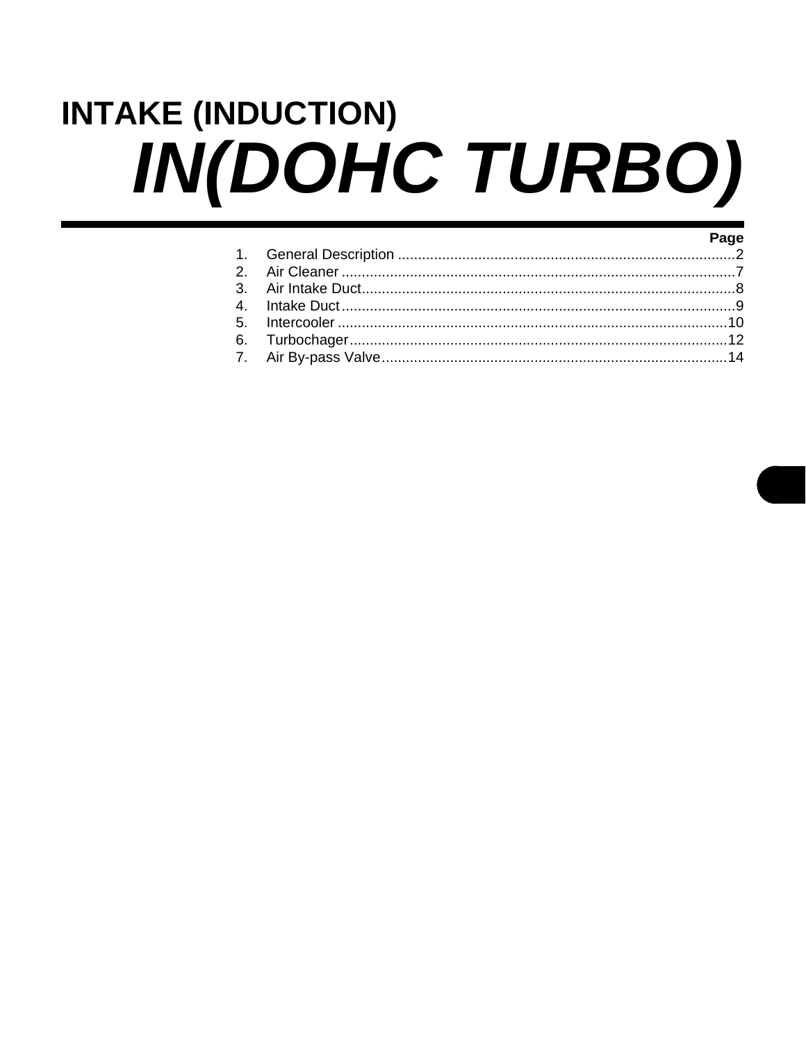# <span id="page-1-0"></span>**INTAKE (INDUCTION)** IN(DOHC TURBO)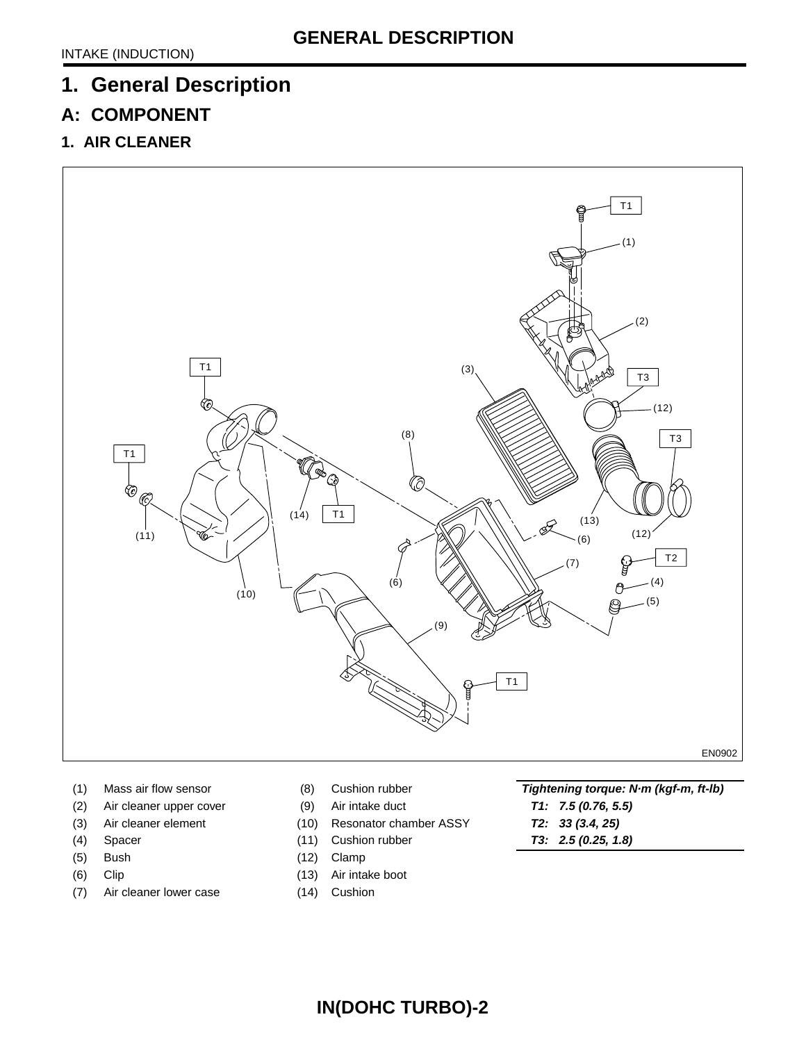# <span id="page-2-0"></span>**1. General Description**

## **A: COMPONENT**

**1. AIR CLEANER**



- 
- (2) Air cleaner upper cover (9) Air intake duct **T1: 7.5 (0.76, 5.5)**
- 
- 
- (5) Bush (12) Clamp
- 
- (7) Air cleaner lower case (14) Cushion
- 
- 
- (3) Air cleaner element (10) Resonator chamber ASSY **T2: 33 (3.4, 25)**
	-
	-
- (6) Clip (13) Air intake boot
	-
- (1) Mass air flow sensor (8) Cushion rubber **Tightening torque: N·m (kgf-m, ft-lb)**
	-
	-
- (4) Spacer (11) Cushion rubber **T3: 2.5 (0.25, 1.8)**

**IN(DOHC TURBO)-2**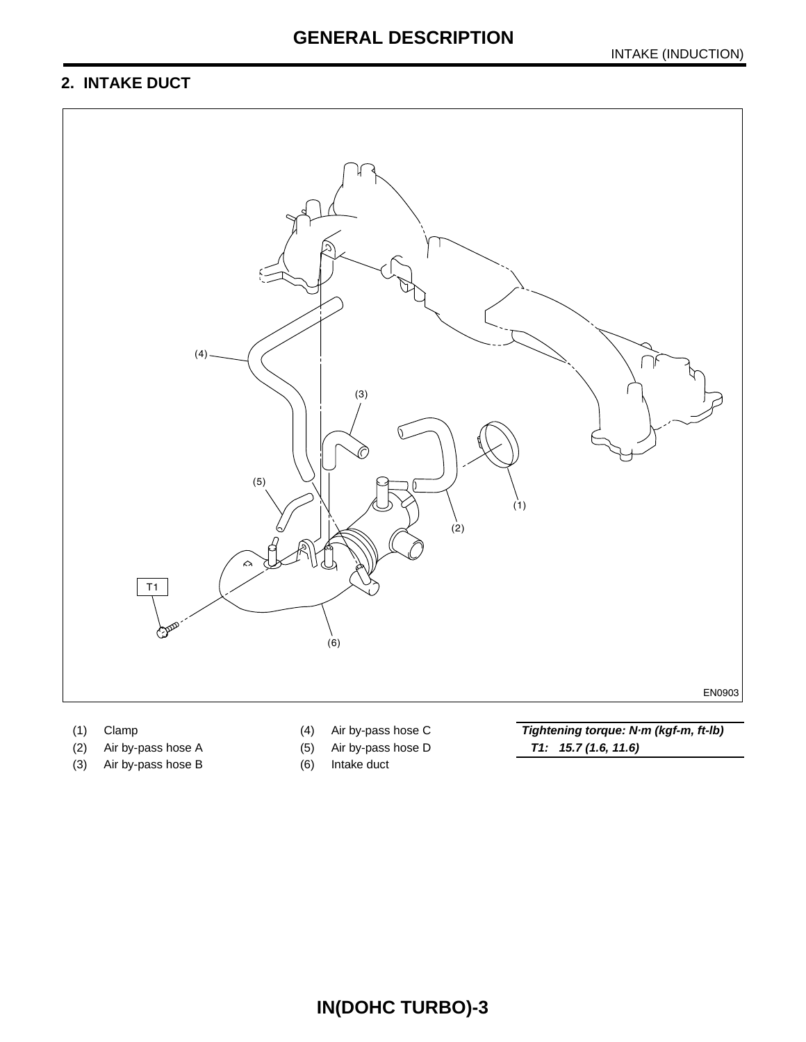## **GENERAL DESCRIPTION**

## **2. INTAKE DUCT**



- 
- 
- (3) Air by-pass hose B (6) Intake duct
- 
- -

(2) Air by-pass hose A (5) Air by-pass hose D **T1: 15.7 (1.6, 11.6)**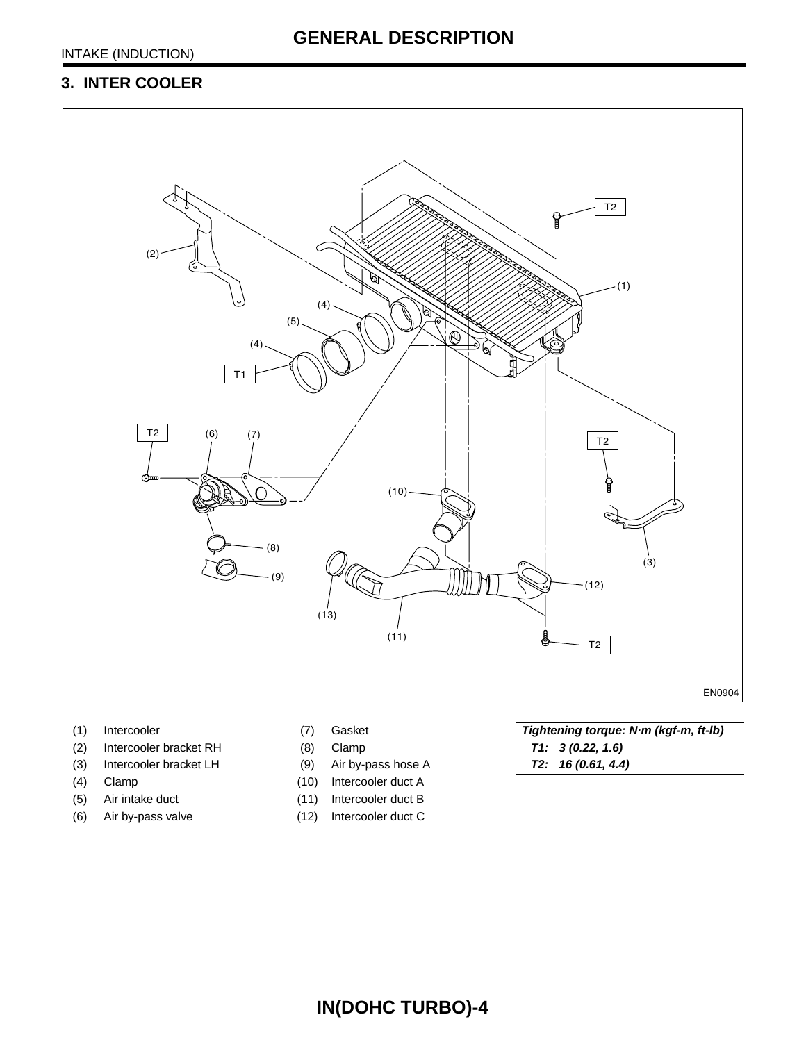#### **3. INTER COOLER**



- 
- (2) Intercooler bracket RH (8) Clamp **T1: 3 (0.22, 1.6)**
- (3) Intercooler bracket LH (9) Air by-pass hose A **T2: 16 (0.61, 4.4)**
- 
- 
- (6) Air by-pass valve (12) Intercooler duct C
- 
- 
- 
- (4) Clamp (10) Intercooler duct A
- (5) Air intake duct (11) Intercooler duct B
	-

(1) Intercooler (7) Gasket **Tightening torque: N·m (kgf-m, ft-lb)**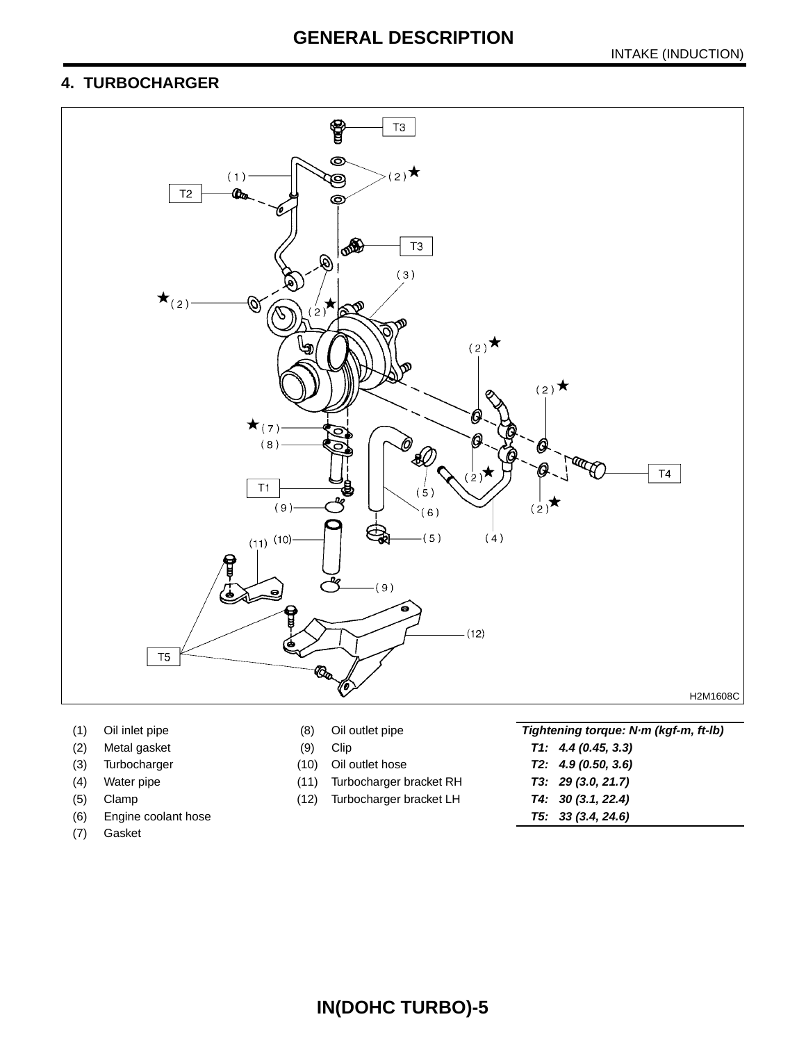# **GENERAL DESCRIPTION**

#### **4. TURBOCHARGER**



- 
- 
- 
- 
- 
- (6) Engine coolant hose **T5: 33 (3.4, 24.6)**
- (7) Gasket
- 
- 
- 
- (4) Water pipe (11) Turbocharger bracket RH **T3: 29 (3.0, 21.7)**
- (5) Clamp (12) Turbocharger bracket LH **T4: 30 (3.1, 22.4)**

(1) Oil inlet pipe (8) Oil outlet pipe **Tightening torque: N·m (kgf-m, ft-lb)** (2) Metal gasket (9) Clip **T1: 4.4 (0.45, 3.3)** (3) Turbocharger (10) Oil outlet hose **T2: 4.9 (0.50, 3.6)**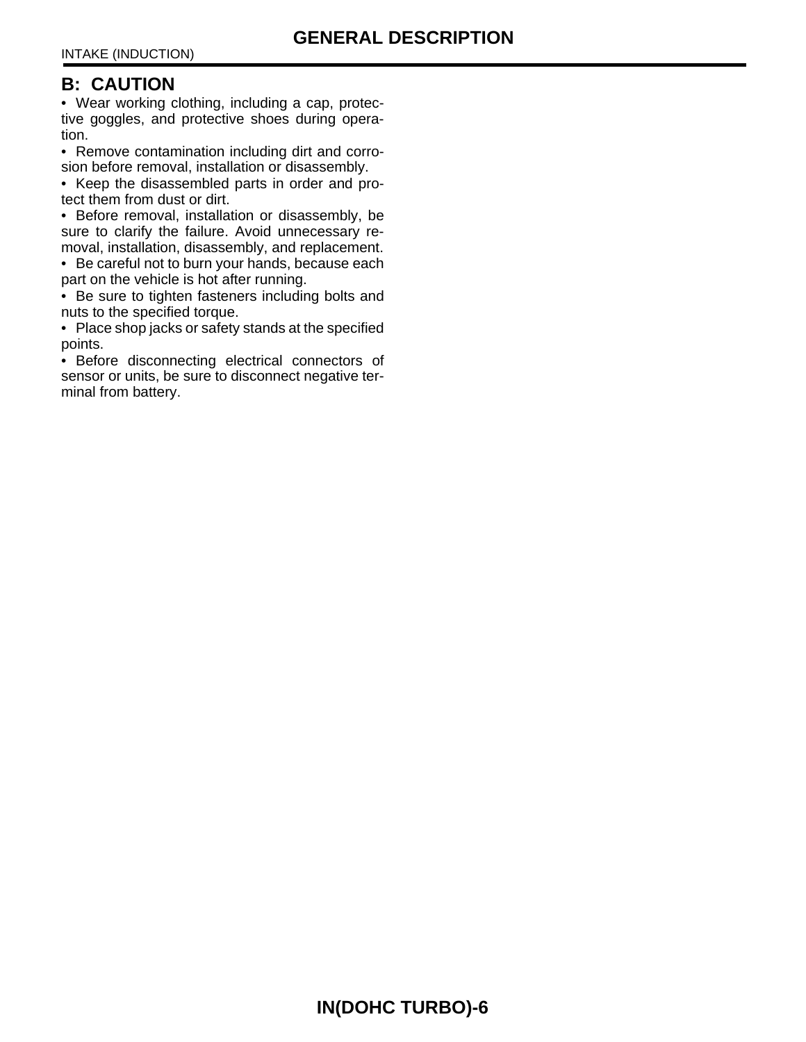#### **B: CAUTION**

• Wear working clothing, including a cap, protective goggles, and protective shoes during operation.

• Remove contamination including dirt and corrosion before removal, installation or disassembly.

• Keep the disassembled parts in order and protect them from dust or dirt.

• Before removal, installation or disassembly, be sure to clarify the failure. Avoid unnecessary removal, installation, disassembly, and replacement.

• Be careful not to burn your hands, because each part on the vehicle is hot after running.

• Be sure to tighten fasteners including bolts and nuts to the specified torque.

• Place shop jacks or safety stands at the specified points.

• Before disconnecting electrical connectors of sensor or units, be sure to disconnect negative terminal from battery.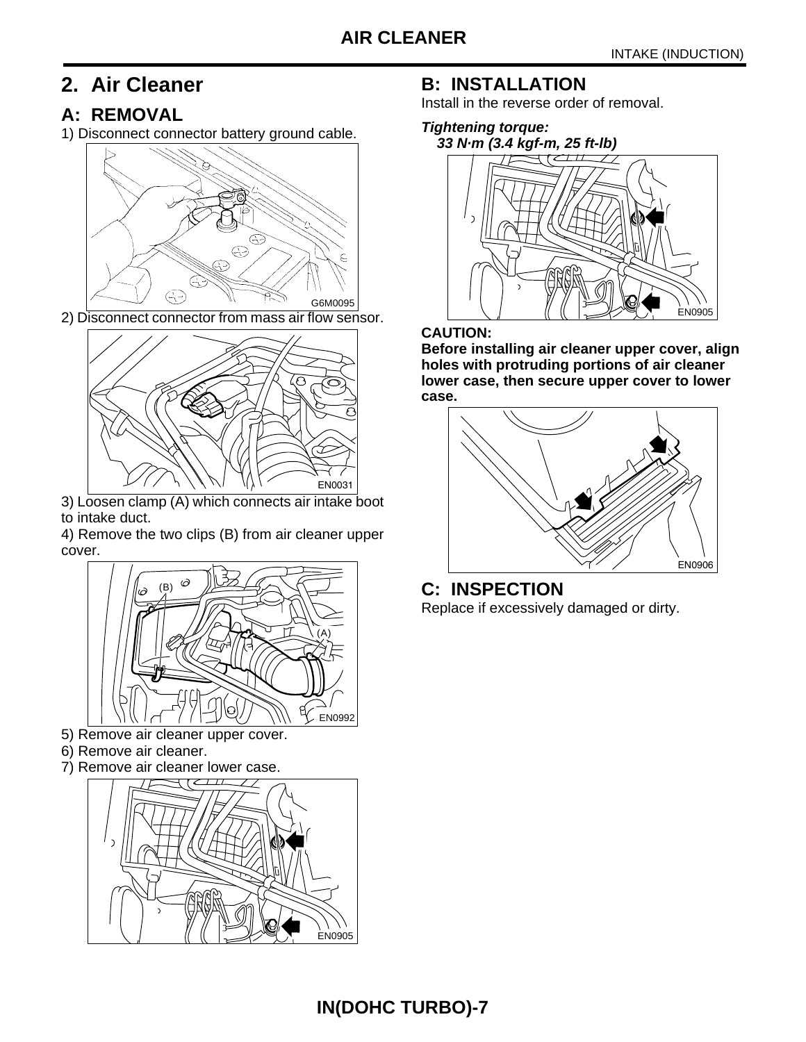# <span id="page-7-0"></span>**2. Air Cleaner**

## **A: REMOVAL**

1) Disconnect connector battery ground cable.



2) Disconnect connector from mass air flow sensor.



3) Loosen clamp (A) which connects air intake boot to intake duct.

4) Remove the two clips (B) from air cleaner upper cover.



- 5) Remove air cleaner upper cover.
- 6) Remove air cleaner.
- 7) Remove air cleaner lower case.



## **B: INSTALLATION**

Install in the reverse order of removal.

#### **Tightening torque:**



#### **CAUTION:**

**Before installing air cleaner upper cover, align holes with protruding portions of air cleaner lower case, then secure upper cover to lower case.**



**C: INSPECTION** Replace if excessively damaged or dirty.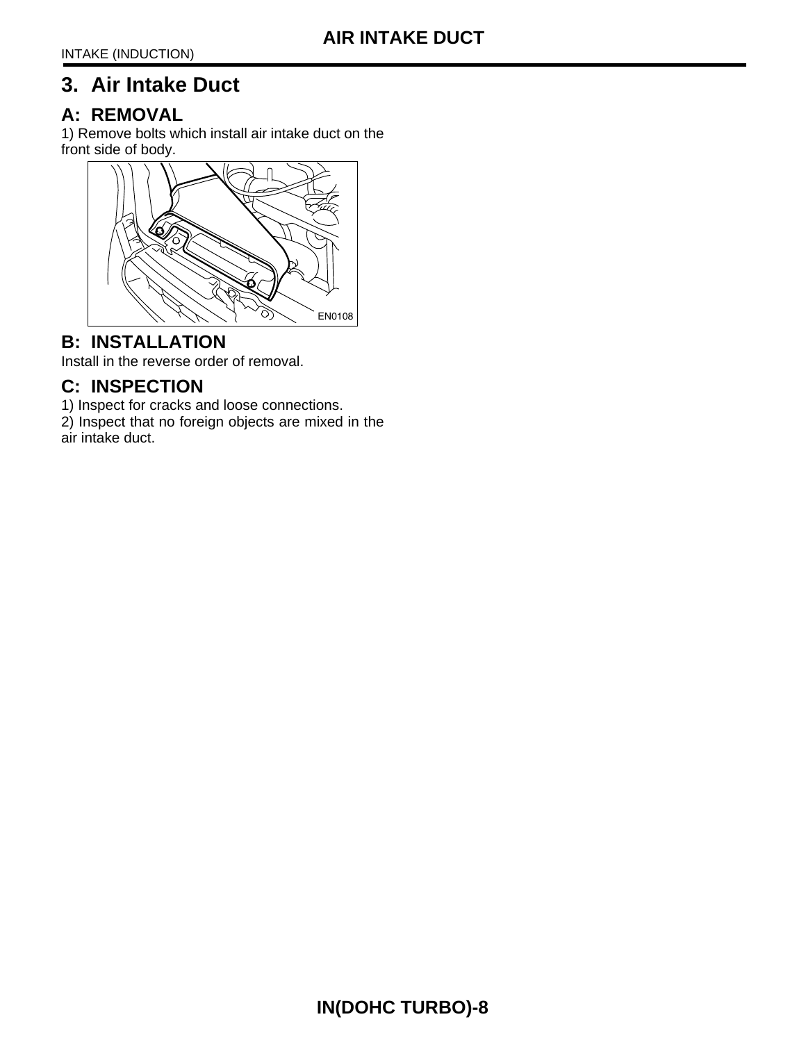# <span id="page-8-0"></span>**3. Air Intake Duct**

#### **A: REMOVAL**

1) Remove bolts which install air intake duct on the front side of body.



#### **B: INSTALLATION**

Install in the reverse order of removal.

## **C: INSPECTION**

1) Inspect for cracks and loose connections.

2) Inspect that no foreign objects are mixed in the air intake duct.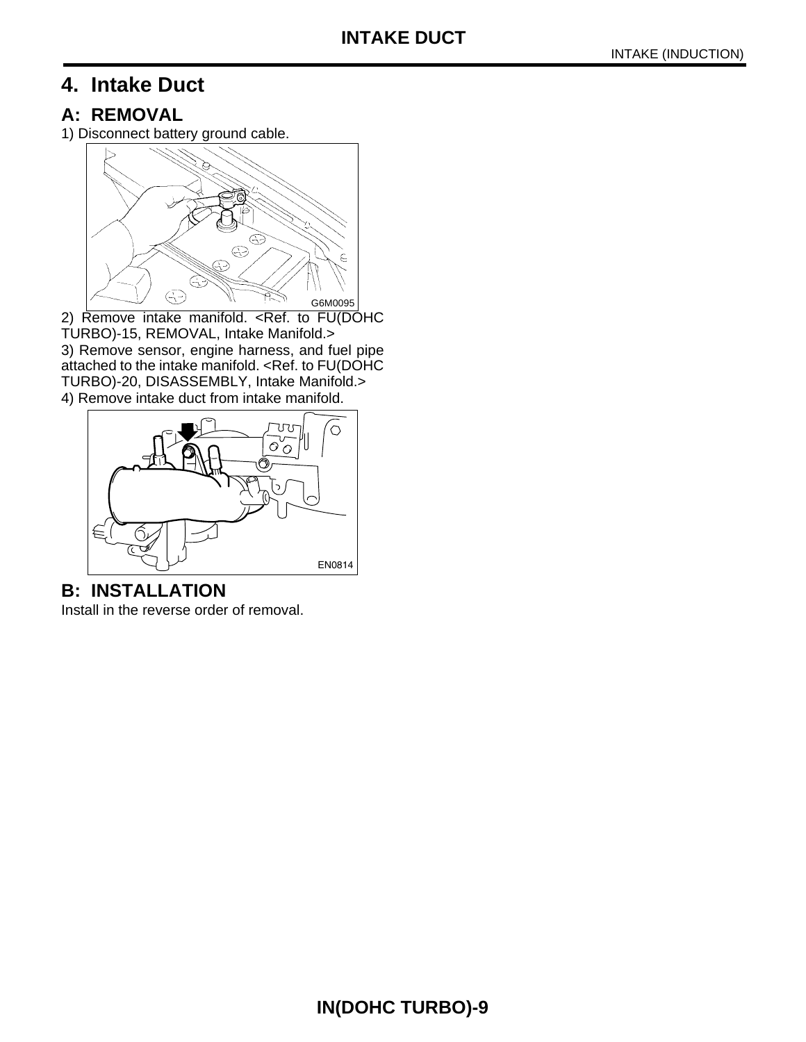# <span id="page-9-0"></span>**4. Intake Duct**

#### **A: REMOVAL**

1) Disconnect battery ground cable.



2) Remove intake manifold. <Ref. to FU(DOHC TURBO)-15, REMOVAL, Intake Manifold.> 3) Remove sensor, engine harness, and fuel pipe attached to the intake manifold. <Ref. to FU(DOHC TURBO)-20, DISASSEMBLY, Intake Manifold.> 4) Remove intake duct from intake manifold.



**B: INSTALLATION** Install in the reverse order of removal.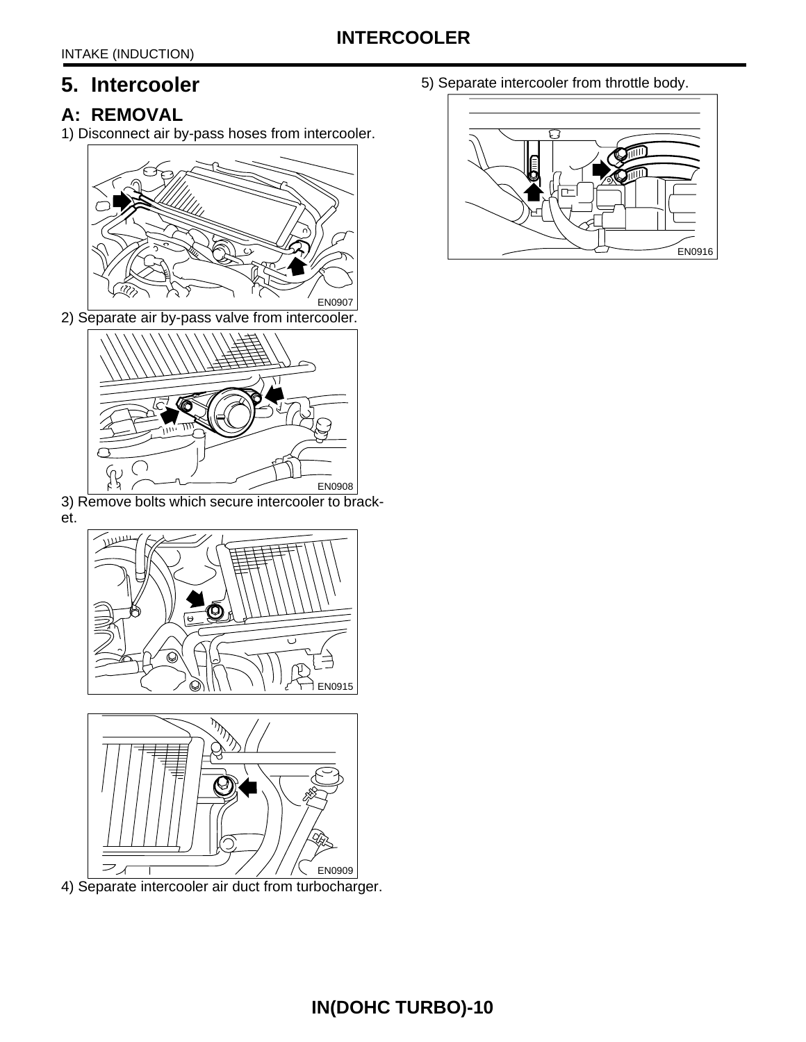# <span id="page-10-0"></span>**5. Intercooler**

# **A: REMOVAL**

1) Disconnect air by-pass hoses from intercooler.



2) Separate air by-pass valve from intercooler.



3) Remove bolts which secure intercooler to bracket.





4) Separate intercooler air duct from turbocharger.

5) Separate intercooler from throttle body.

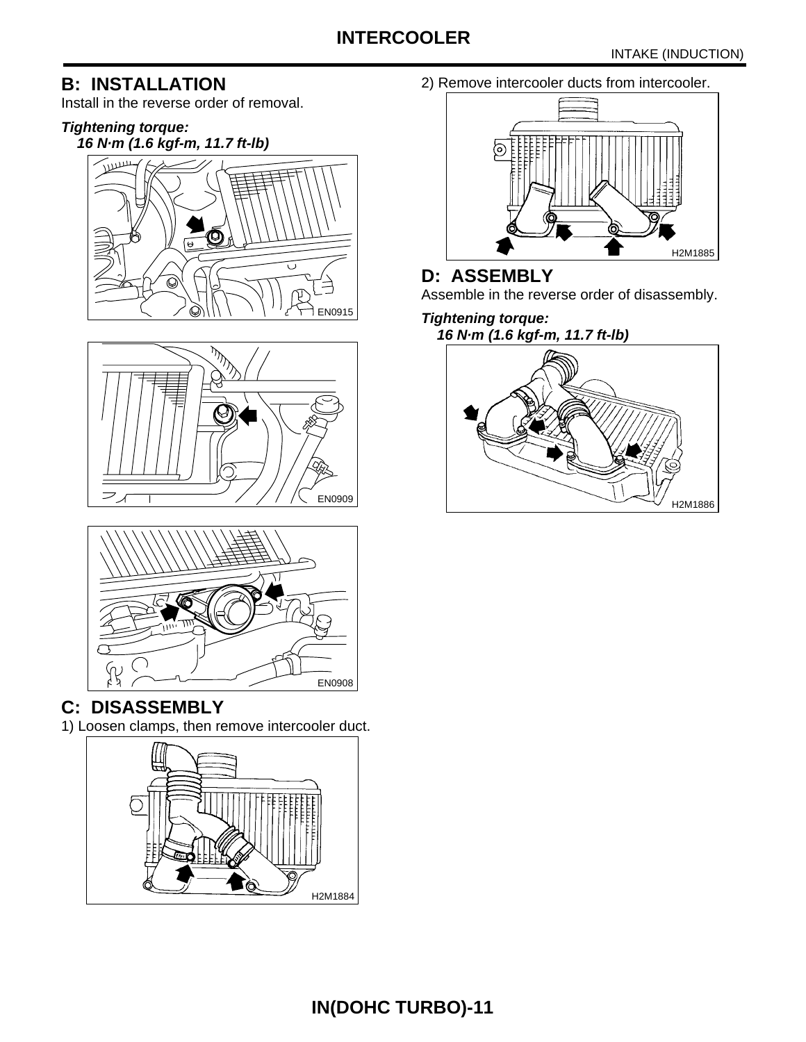## **B: INSTALLATION**

Install in the reverse order of removal.

## **Tightening torque:**







# **C: DISASSEMBLY**

1) Loosen clamps, then remove intercooler duct.



2) Remove intercooler ducts from intercooler.



# **D: ASSEMBLY**

Assemble in the reverse order of disassembly.

## **Tightening torque:**

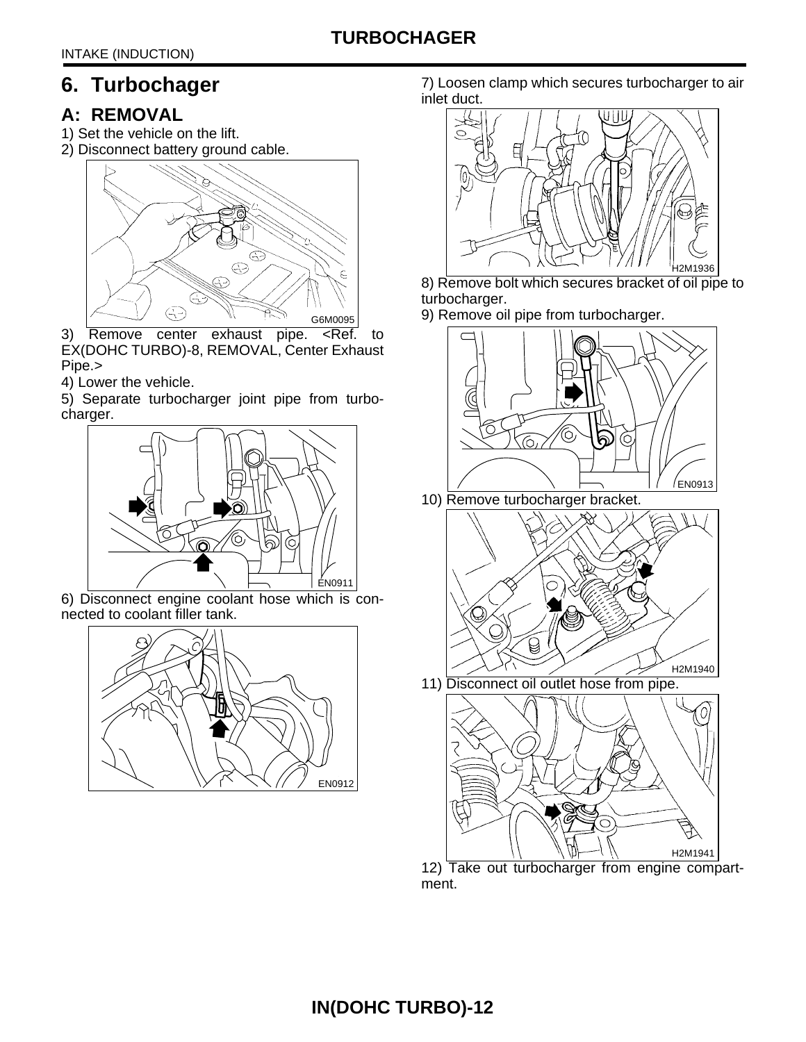# <span id="page-12-0"></span>**6. Turbochager**

# **A: REMOVAL**

- 1) Set the vehicle on the lift.
- 2) Disconnect battery ground cable.



- 3) Remove center exhaust pipe. <Ref. to EX(DOHC TURBO)-8, REMOVAL, Center Exhaust Pipe.>
- 4) Lower the vehicle.

5) Separate turbocharger joint pipe from turbocharger.



6) Disconnect engine coolant hose which is connected to coolant filler tank.



7) Loosen clamp which secures turbocharger to air inlet duct.



- 8) Remove bolt which secures bracket of oil pipe to turbocharger.
- 9) Remove oil pipe from turbocharger.





11) Disconnect oil outlet hose from pipe.



12) Take out turbocharger from engine compartment.

# **IN(DOHC TURBO)-12**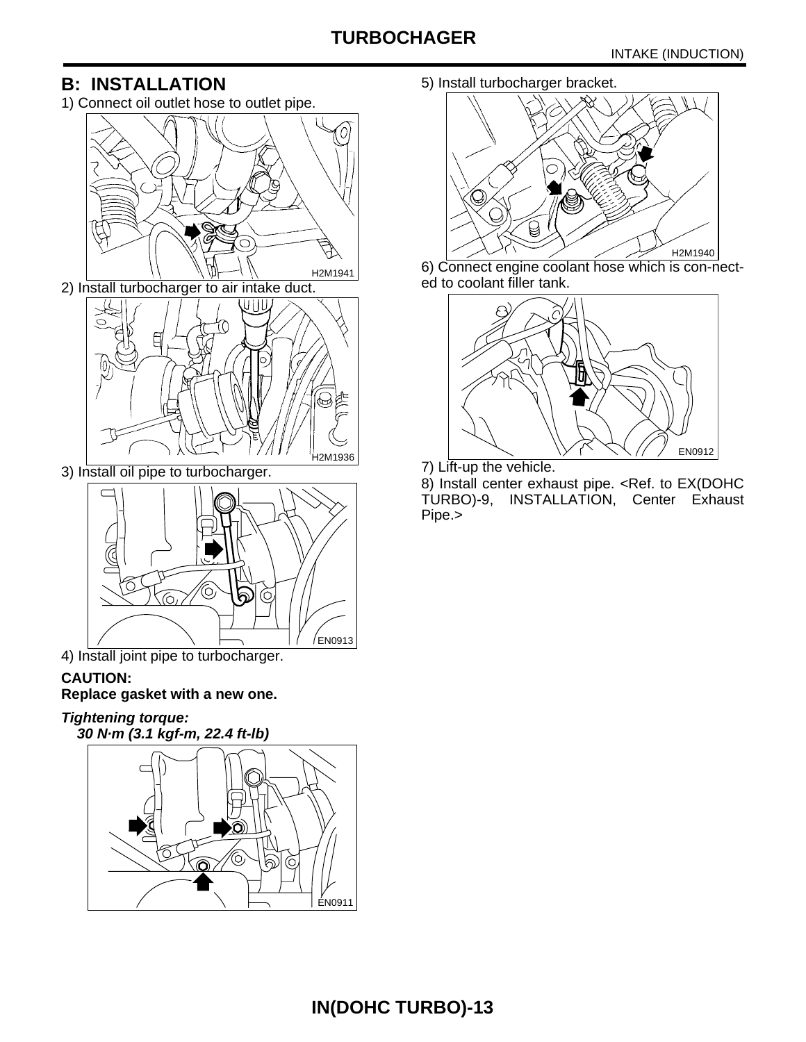# **TURBOCHAGER**

## **B: INSTALLATION**

1) Connect oil outlet hose to outlet pipe.



2) Install turbocharger to air intake duct.



3) Install oil pipe to turbocharger.



4) Install joint pipe to turbocharger.

#### **CAUTION:**

**Replace gasket with a new one.**

**Tightening torque: 30 N·m (3.1 kgf-m, 22.4 ft-lb)**



5) Install turbocharger bracket.



6) Connect engine coolant hose which is con-nected to coolant filler tank.



7) Lift-up the vehicle.

8) Install center exhaust pipe. <Ref. to EX(DOHC TURBO)-9, INSTALLATION, Center Exhaust Pipe.>